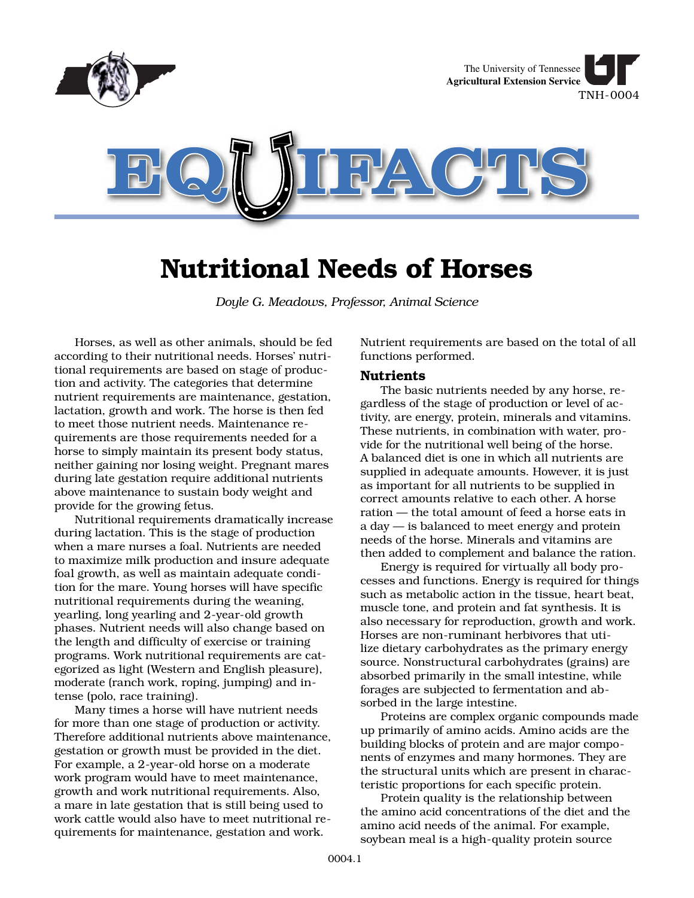

# **Nutritional Needs of Horses**

*Doyle G. Meadows, Professor, Animal Science*

Horses, as well as other animals, should be fed according to their nutritional needs. Horses' nutritional requirements are based on stage of production and activity. The categories that determine nutrient requirements are maintenance, gestation, lactation, growth and work. The horse is then fed to meet those nutrient needs. Maintenance requirements are those requirements needed for a horse to simply maintain its present body status, neither gaining nor losing weight. Pregnant mares during late gestation require additional nutrients above maintenance to sustain body weight and provide for the growing fetus.

Nutritional requirements dramatically increase during lactation. This is the stage of production when a mare nurses a foal. Nutrients are needed to maximize milk production and insure adequate foal growth, as well as maintain adequate condition for the mare. Young horses will have specific nutritional requirements during the weaning, yearling, long yearling and 2-year-old growth phases. Nutrient needs will also change based on the length and difficulty of exercise or training programs. Work nutritional requirements are categorized as light (Western and English pleasure), moderate (ranch work, roping, jumping) and intense (polo, race training).

Many times a horse will have nutrient needs for more than one stage of production or activity. Therefore additional nutrients above maintenance, gestation or growth must be provided in the diet. For example, a 2-year-old horse on a moderate work program would have to meet maintenance, growth and work nutritional requirements. Also, a mare in late gestation that is still being used to work cattle would also have to meet nutritional requirements for maintenance, gestation and work.

Nutrient requirements are based on the total of all functions performed.

# **Nutrients**

The basic nutrients needed by any horse, regardless of the stage of production or level of activity, are energy, protein, minerals and vitamins. These nutrients, in combination with water, provide for the nutritional well being of the horse. A balanced diet is one in which all nutrients are supplied in adequate amounts. However, it is just as important for all nutrients to be supplied in correct amounts relative to each other. A horse ration — the total amount of feed a horse eats in a day — is balanced to meet energy and protein needs of the horse. Minerals and vitamins are then added to complement and balance the ration.

Energy is required for virtually all body processes and functions. Energy is required for things such as metabolic action in the tissue, heart beat, muscle tone, and protein and fat synthesis. It is also necessary for reproduction, growth and work. Horses are non-ruminant herbivores that utilize dietary carbohydrates as the primary energy source. Nonstructural carbohydrates (grains) are absorbed primarily in the small intestine, while forages are subjected to fermentation and absorbed in the large intestine.

Proteins are complex organic compounds made up primarily of amino acids. Amino acids are the building blocks of protein and are major components of enzymes and many hormones. They are the structural units which are present in characteristic proportions for each specific protein.

Protein quality is the relationship between the amino acid concentrations of the diet and the amino acid needs of the animal. For example, soybean meal is a high-quality protein source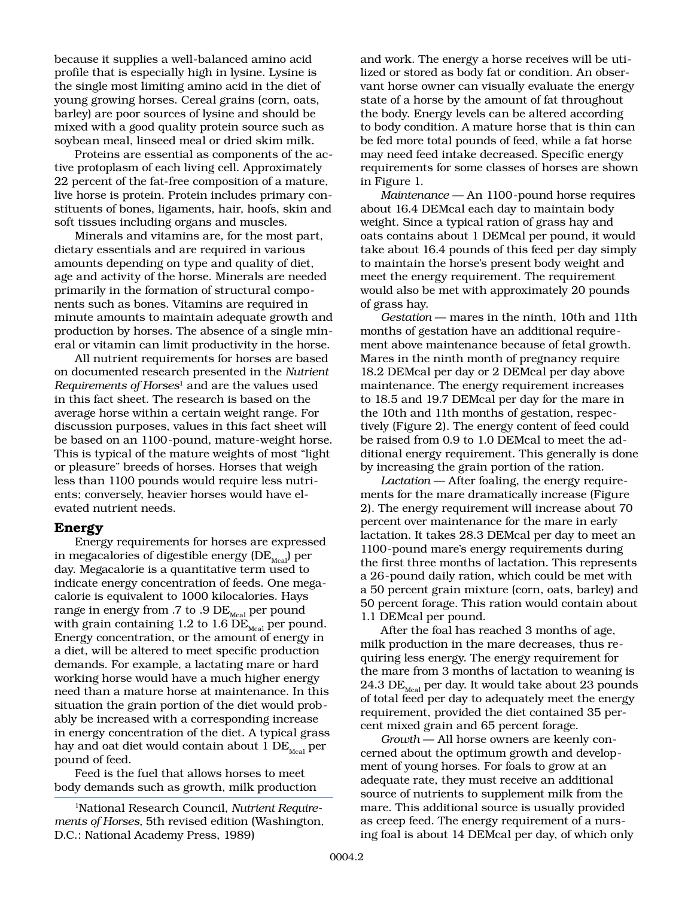because it supplies a well-balanced amino acid profile that is especially high in lysine. Lysine is the single most limiting amino acid in the diet of young growing horses. Cereal grains (corn, oats, barley) are poor sources of lysine and should be mixed with a good quality protein source such as soybean meal, linseed meal or dried skim milk.

Proteins are essential as components of the active protoplasm of each living cell. Approximately 22 percent of the fat-free composition of a mature, live horse is protein. Protein includes primary constituents of bones, ligaments, hair, hoofs, skin and soft tissues including organs and muscles.

Minerals and vitamins are, for the most part, dietary essentials and are required in various amounts depending on type and quality of diet, age and activity of the horse. Minerals are needed primarily in the formation of structural components such as bones. Vitamins are required in minute amounts to maintain adequate growth and production by horses. The absence of a single mineral or vitamin can limit productivity in the horse.

All nutrient requirements for horses are based on documented research presented in the *Nutrient Requirements of Horses*1 and are the values used in this fact sheet. The research is based on the average horse within a certain weight range. For discussion purposes, values in this fact sheet will be based on an 1100-pound, mature-weight horse. This is typical of the mature weights of most "light or pleasure" breeds of horses. Horses that weigh less than 1100 pounds would require less nutrients; conversely, heavier horses would have elevated nutrient needs.

## **Energy**

Energy requirements for horses are expressed in megacalories of digestible energy  $(DE_{\text{Meas}})$  per day. Megacalorie is a quantitative term used to indicate energy concentration of feeds. One megacalorie is equivalent to 1000 kilocalories. Hays range in energy from .7 to .9  $DE_{\text{Meal}}$  per pound with grain containing 1.2 to 1.6  $\overline{DE}_{\text{Meal}}$  per pound. Energy concentration, or the amount of energy in a diet, will be altered to meet specific production demands. For example, a lactating mare or hard working horse would have a much higher energy need than a mature horse at maintenance. In this situation the grain portion of the diet would probably be increased with a corresponding increase in energy concentration of the diet. A typical grass hay and oat diet would contain about 1  $DE_{\text{Mcal}}$  per pound of feed.

Feed is the fuel that allows horses to meet body demands such as growth, milk production

1National Research Council, *Nutrient Requirements of Horses,* 5th revised edition (Washington, D.C.: National Academy Press, 1989)

and work. The energy a horse receives will be utilized or stored as body fat or condition. An observant horse owner can visually evaluate the energy state of a horse by the amount of fat throughout the body. Energy levels can be altered according to body condition. A mature horse that is thin can be fed more total pounds of feed, while a fat horse may need feed intake decreased. Specific energy requirements for some classes of horses are shown in Figure 1.

*Maintenance* — An 1100-pound horse requires about 16.4 DEMcal each day to maintain body weight. Since a typical ration of grass hay and oats contains about 1 DEMcal per pound, it would take about 16.4 pounds of this feed per day simply to maintain the horse's present body weight and meet the energy requirement. The requirement would also be met with approximately 20 pounds of grass hay.

*Gestation* — mares in the ninth, 10th and 11th months of gestation have an additional requirement above maintenance because of fetal growth. Mares in the ninth month of pregnancy require 18.2 DEMcal per day or 2 DEMcal per day above maintenance. The energy requirement increases to 18.5 and 19.7 DEMcal per day for the mare in the 10th and 11th months of gestation, respectively (Figure 2). The energy content of feed could be raised from 0.9 to 1.0 DEMcal to meet the additional energy requirement. This generally is done by increasing the grain portion of the ration.

*Lactation* — After foaling, the energy requirements for the mare dramatically increase (Figure 2). The energy requirement will increase about 70 percent over maintenance for the mare in early lactation. It takes 28.3 DEMcal per day to meet an 1100-pound mare's energy requirements during the first three months of lactation. This represents a 26-pound daily ration, which could be met with a 50 percent grain mixture (corn, oats, barley) and 50 percent forage. This ration would contain about 1.1 DEMcal per pound.

After the foal has reached 3 months of age, milk production in the mare decreases, thus requiring less energy. The energy requirement for the mare from 3 months of lactation to weaning is  $24.3$  DE<sub>Mcal</sub> per day. It would take about 23 pounds of total feed per day to adequately meet the energy requirement, provided the diet contained 35 percent mixed grain and 65 percent forage.

*Growth* — All horse owners are keenly concerned about the optimum growth and development of young horses. For foals to grow at an adequate rate, they must receive an additional source of nutrients to supplement milk from the mare. This additional source is usually provided as creep feed. The energy requirement of a nursing foal is about 14 DEMcal per day, of which only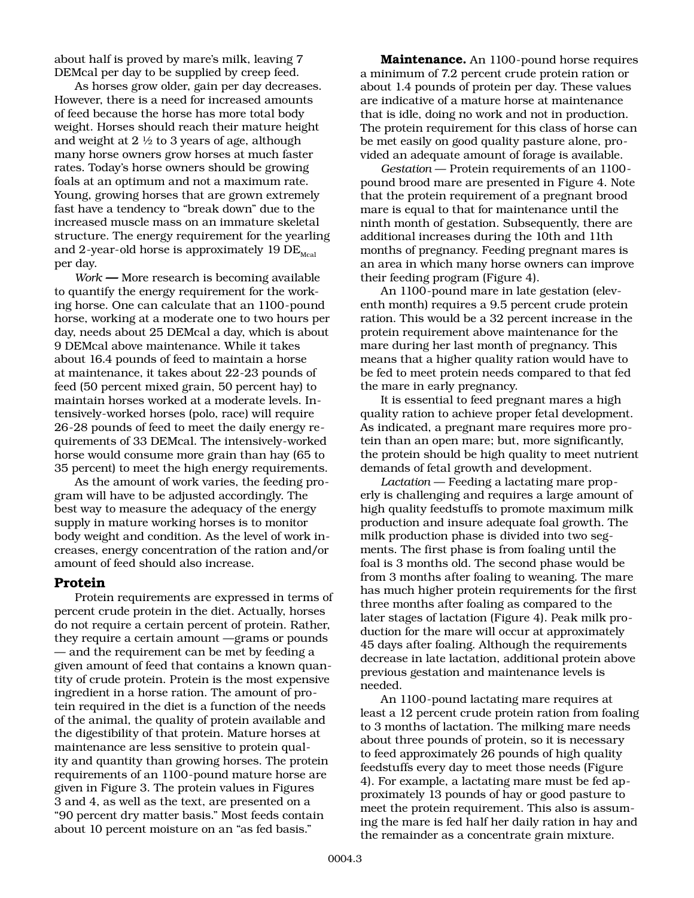about half is proved by mare's milk, leaving 7 DEMcal per day to be supplied by creep feed.

As horses grow older, gain per day decreases. However, there is a need for increased amounts of feed because the horse has more total body weight. Horses should reach their mature height and weight at 2 ½ to 3 years of age, although many horse owners grow horses at much faster rates. Today's horse owners should be growing foals at an optimum and not a maximum rate. Young, growing horses that are grown extremely fast have a tendency to "break down" due to the increased muscle mass on an immature skeletal structure. The energy requirement for the yearling and 2-year-old horse is approximately 19  $DE_{\text{Moch}}$ per day.

*Work* **—** More research is becoming available to quantify the energy requirement for the working horse. One can calculate that an 1100-pound horse, working at a moderate one to two hours per day, needs about 25 DEMcal a day, which is about 9 DEMcal above maintenance. While it takes about 16.4 pounds of feed to maintain a horse at maintenance, it takes about 22-23 pounds of feed (50 percent mixed grain, 50 percent hay) to maintain horses worked at a moderate levels. Intensively-worked horses (polo, race) will require 26-28 pounds of feed to meet the daily energy requirements of 33 DEMcal. The intensively-worked horse would consume more grain than hay (65 to 35 percent) to meet the high energy requirements.

As the amount of work varies, the feeding program will have to be adjusted accordingly. The best way to measure the adequacy of the energy supply in mature working horses is to monitor body weight and condition. As the level of work increases, energy concentration of the ration and/or amount of feed should also increase.

## **Protein**

Protein requirements are expressed in terms of percent crude protein in the diet. Actually, horses do not require a certain percent of protein. Rather, they require a certain amount —grams or pounds — and the requirement can be met by feeding a given amount of feed that contains a known quantity of crude protein. Protein is the most expensive ingredient in a horse ration. The amount of protein required in the diet is a function of the needs of the animal, the quality of protein available and the digestibility of that protein. Mature horses at maintenance are less sensitive to protein quality and quantity than growing horses. The protein requirements of an 1100-pound mature horse are given in Figure 3. The protein values in Figures 3 and 4, as well as the text, are presented on a "90 percent dry matter basis." Most feeds contain about 10 percent moisture on an "as fed basis."

**Maintenance.** An 1100-pound horse requires a minimum of 7.2 percent crude protein ration or about 1.4 pounds of protein per day. These values are indicative of a mature horse at maintenance that is idle, doing no work and not in production. The protein requirement for this class of horse can be met easily on good quality pasture alone, provided an adequate amount of forage is available.

*Gestation* — Protein requirements of an 1100 pound brood mare are presented in Figure 4. Note that the protein requirement of a pregnant brood mare is equal to that for maintenance until the ninth month of gestation. Subsequently, there are additional increases during the 10th and 11th months of pregnancy. Feeding pregnant mares is an area in which many horse owners can improve their feeding program (Figure 4).

An 1100-pound mare in late gestation (eleventh month) requires a 9.5 percent crude protein ration. This would be a 32 percent increase in the protein requirement above maintenance for the mare during her last month of pregnancy. This means that a higher quality ration would have to be fed to meet protein needs compared to that fed the mare in early pregnancy.

It is essential to feed pregnant mares a high quality ration to achieve proper fetal development. As indicated, a pregnant mare requires more protein than an open mare; but, more significantly, the protein should be high quality to meet nutrient demands of fetal growth and development.

*Lactation* — Feeding a lactating mare properly is challenging and requires a large amount of high quality feedstuffs to promote maximum milk production and insure adequate foal growth. The milk production phase is divided into two segments. The first phase is from foaling until the foal is 3 months old. The second phase would be from 3 months after foaling to weaning. The mare has much higher protein requirements for the first three months after foaling as compared to the later stages of lactation (Figure 4). Peak milk production for the mare will occur at approximately 45 days after foaling. Although the requirements decrease in late lactation, additional protein above previous gestation and maintenance levels is needed.

An 1100-pound lactating mare requires at least a 12 percent crude protein ration from foaling to 3 months of lactation. The milking mare needs about three pounds of protein, so it is necessary to feed approximately 26 pounds of high quality feedstuffs every day to meet those needs (Figure 4). For example, a lactating mare must be fed approximately 13 pounds of hay or good pasture to meet the protein requirement. This also is assuming the mare is fed half her daily ration in hay and the remainder as a concentrate grain mixture.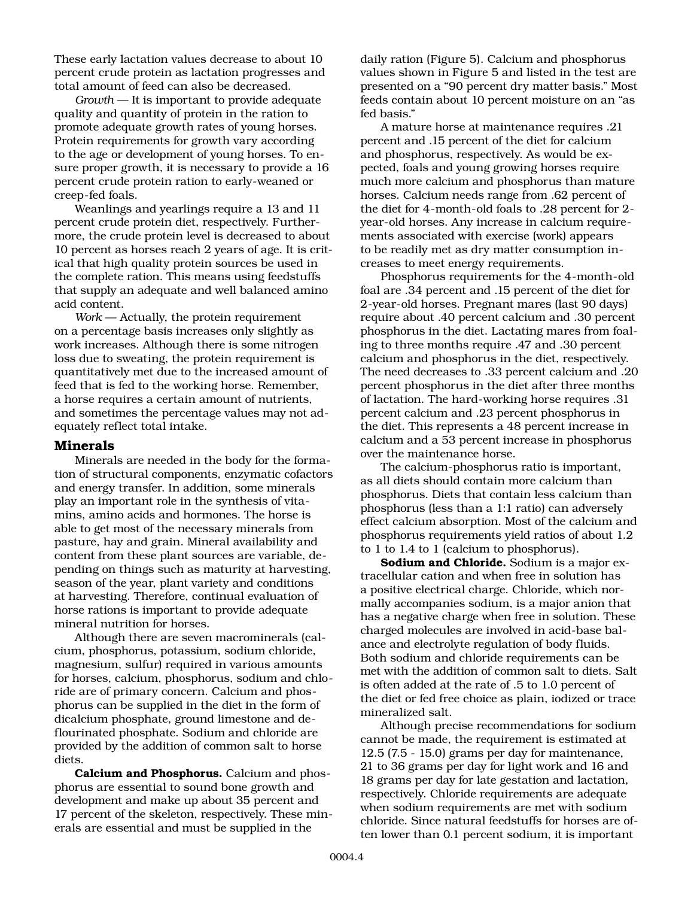These early lactation values decrease to about 10 percent crude protein as lactation progresses and total amount of feed can also be decreased.

*Growth* — It is important to provide adequate quality and quantity of protein in the ration to promote adequate growth rates of young horses. Protein requirements for growth vary according to the age or development of young horses. To ensure proper growth, it is necessary to provide a 16 percent crude protein ration to early-weaned or creep-fed foals.

Weanlings and yearlings require a 13 and 11 percent crude protein diet, respectively. Furthermore, the crude protein level is decreased to about 10 percent as horses reach 2 years of age. It is critical that high quality protein sources be used in the complete ration. This means using feedstuffs that supply an adequate and well balanced amino acid content.

*Work* — Actually, the protein requirement on a percentage basis increases only slightly as work increases. Although there is some nitrogen loss due to sweating, the protein requirement is quantitatively met due to the increased amount of feed that is fed to the working horse. Remember, a horse requires a certain amount of nutrients, and sometimes the percentage values may not adequately reflect total intake.

# **Minerals**

Minerals are needed in the body for the formation of structural components, enzymatic cofactors and energy transfer. In addition, some minerals play an important role in the synthesis of vitamins, amino acids and hormones. The horse is able to get most of the necessary minerals from pasture, hay and grain. Mineral availability and content from these plant sources are variable, depending on things such as maturity at harvesting, season of the year, plant variety and conditions at harvesting. Therefore, continual evaluation of horse rations is important to provide adequate mineral nutrition for horses.

Although there are seven macrominerals (calcium, phosphorus, potassium, sodium chloride, magnesium, sulfur) required in various amounts for horses, calcium, phosphorus, sodium and chloride are of primary concern. Calcium and phosphorus can be supplied in the diet in the form of dicalcium phosphate, ground limestone and deflourinated phosphate. Sodium and chloride are provided by the addition of common salt to horse diets.

**Calcium and Phosphorus.** Calcium and phosphorus are essential to sound bone growth and development and make up about 35 percent and 17 percent of the skeleton, respectively. These minerals are essential and must be supplied in the

daily ration (Figure 5). Calcium and phosphorus values shown in Figure 5 and listed in the test are presented on a "90 percent dry matter basis." Most feeds contain about 10 percent moisture on an "as fed basis."

A mature horse at maintenance requires .21 percent and .15 percent of the diet for calcium and phosphorus, respectively. As would be expected, foals and young growing horses require much more calcium and phosphorus than mature horses. Calcium needs range from .62 percent of the diet for 4-month-old foals to .28 percent for 2 year-old horses. Any increase in calcium requirements associated with exercise (work) appears to be readily met as dry matter consumption increases to meet energy requirements.

Phosphorus requirements for the 4-month-old foal are .34 percent and .15 percent of the diet for 2-year-old horses. Pregnant mares (last 90 days) require about .40 percent calcium and .30 percent phosphorus in the diet. Lactating mares from foaling to three months require .47 and .30 percent calcium and phosphorus in the diet, respectively. The need decreases to .33 percent calcium and .20 percent phosphorus in the diet after three months of lactation. The hard-working horse requires .31 percent calcium and .23 percent phosphorus in the diet. This represents a 48 percent increase in calcium and a 53 percent increase in phosphorus over the maintenance horse.

The calcium-phosphorus ratio is important, as all diets should contain more calcium than phosphorus. Diets that contain less calcium than phosphorus (less than a 1:1 ratio) can adversely effect calcium absorption. Most of the calcium and phosphorus requirements yield ratios of about 1.2 to 1 to 1.4 to 1 (calcium to phosphorus).

**Sodium and Chloride.** Sodium is a major extracellular cation and when free in solution has a positive electrical charge. Chloride, which normally accompanies sodium, is a major anion that has a negative charge when free in solution. These charged molecules are involved in acid-base balance and electrolyte regulation of body fluids. Both sodium and chloride requirements can be met with the addition of common salt to diets. Salt is often added at the rate of .5 to 1.0 percent of the diet or fed free choice as plain, iodized or trace mineralized salt.

Although precise recommendations for sodium cannot be made, the requirement is estimated at 12.5 (7.5 - 15.0) grams per day for maintenance, 21 to 36 grams per day for light work and 16 and 18 grams per day for late gestation and lactation, respectively. Chloride requirements are adequate when sodium requirements are met with sodium chloride. Since natural feedstuffs for horses are often lower than 0.1 percent sodium, it is important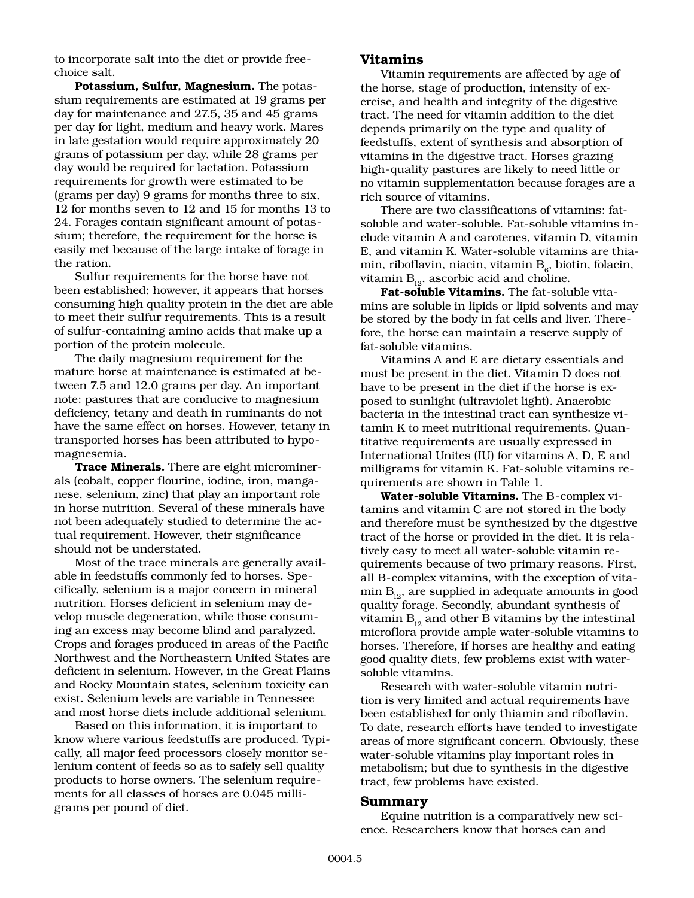to incorporate salt into the diet or provide freechoice salt.

**Potassium, Sulfur, Magnesium.** The potassium requirements are estimated at 19 grams per day for maintenance and 27.5, 35 and 45 grams per day for light, medium and heavy work. Mares in late gestation would require approximately 20 grams of potassium per day, while 28 grams per day would be required for lactation. Potassium requirements for growth were estimated to be (grams per day) 9 grams for months three to six, 12 for months seven to 12 and 15 for months 13 to 24. Forages contain significant amount of potassium; therefore, the requirement for the horse is easily met because of the large intake of forage in the ration.

Sulfur requirements for the horse have not been established; however, it appears that horses consuming high quality protein in the diet are able to meet their sulfur requirements. This is a result of sulfur-containing amino acids that make up a portion of the protein molecule.

The daily magnesium requirement for the mature horse at maintenance is estimated at between 7.5 and 12.0 grams per day. An important note: pastures that are conducive to magnesium deficiency, tetany and death in ruminants do not have the same effect on horses. However, tetany in transported horses has been attributed to hypomagnesemia.

**Trace Minerals.** There are eight microminerals (cobalt, copper flourine, iodine, iron, manganese, selenium, zinc) that play an important role in horse nutrition. Several of these minerals have not been adequately studied to determine the actual requirement. However, their significance should not be understated.

Most of the trace minerals are generally available in feedstuffs commonly fed to horses. Specifically, selenium is a major concern in mineral nutrition. Horses deficient in selenium may develop muscle degeneration, while those consuming an excess may become blind and paralyzed. Crops and forages produced in areas of the Pacific Northwest and the Northeastern United States are deficient in selenium. However, in the Great Plains and Rocky Mountain states, selenium toxicity can exist. Selenium levels are variable in Tennessee and most horse diets include additional selenium.

Based on this information, it is important to know where various feedstuffs are produced. Typically, all major feed processors closely monitor selenium content of feeds so as to safely sell quality products to horse owners. The selenium requirements for all classes of horses are 0.045 milligrams per pound of diet.

## **Vitamins**

Vitamin requirements are affected by age of the horse, stage of production, intensity of exercise, and health and integrity of the digestive tract. The need for vitamin addition to the diet depends primarily on the type and quality of feedstuffs, extent of synthesis and absorption of vitamins in the digestive tract. Horses grazing high-quality pastures are likely to need little or no vitamin supplementation because forages are a rich source of vitamins.

There are two classifications of vitamins: fatsoluble and water-soluble. Fat-soluble vitamins include vitamin A and carotenes, vitamin D, vitamin E, and vitamin K. Water-soluble vitamins are thiamin, riboflavin, niacin, vitamin  $B_{\epsilon}$ , biotin, folacin, vitamin  $B_{12}$ , ascorbic acid and choline.

**Fat-soluble Vitamins.** The fat-soluble vitamins are soluble in lipids or lipid solvents and may be stored by the body in fat cells and liver. Therefore, the horse can maintain a reserve supply of fat-soluble vitamins.

Vitamins A and E are dietary essentials and must be present in the diet. Vitamin D does not have to be present in the diet if the horse is exposed to sunlight (ultraviolet light). Anaerobic bacteria in the intestinal tract can synthesize vitamin K to meet nutritional requirements. Quantitative requirements are usually expressed in International Unites (IU) for vitamins A, D, E and milligrams for vitamin K. Fat-soluble vitamins requirements are shown in Table 1.

**Water-soluble Vitamins.** The B-complex vitamins and vitamin C are not stored in the body and therefore must be synthesized by the digestive tract of the horse or provided in the diet. It is relatively easy to meet all water-soluble vitamin requirements because of two primary reasons. First, all B-complex vitamins, with the exception of vitamin  $B_{12}$ , are supplied in adequate amounts in good quality forage. Secondly, abundant synthesis of vitamin  $B_{12}$  and other B vitamins by the intestinal microflora provide ample water-soluble vitamins to horses. Therefore, if horses are healthy and eating good quality diets, few problems exist with watersoluble vitamins.

Research with water-soluble vitamin nutrition is very limited and actual requirements have been established for only thiamin and riboflavin. To date, research efforts have tended to investigate areas of more significant concern. Obviously, these water-soluble vitamins play important roles in metabolism; but due to synthesis in the digestive tract, few problems have existed.

#### **Summary**

Equine nutrition is a comparatively new science. Researchers know that horses can and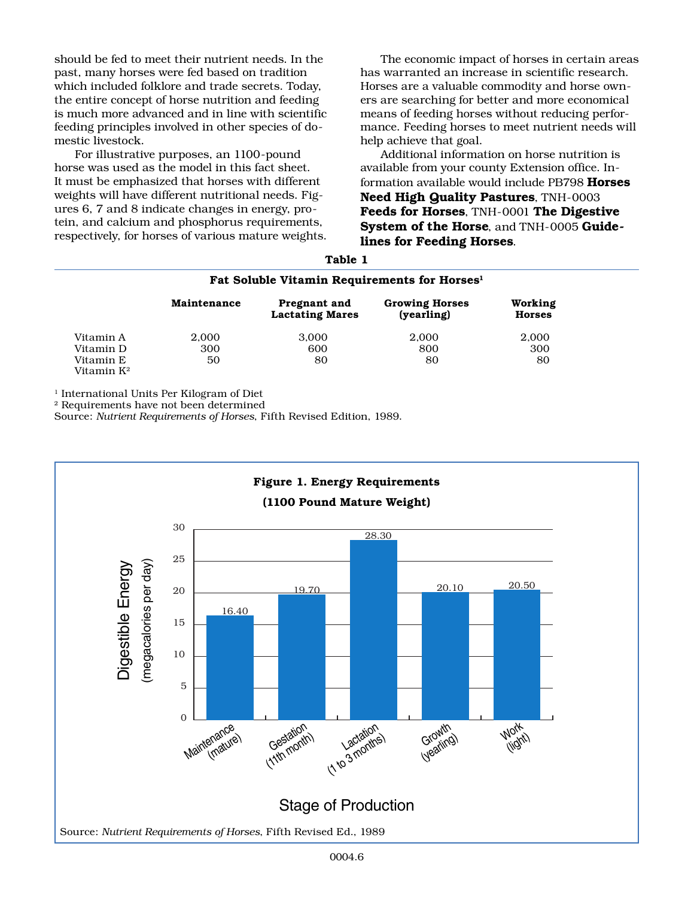should be fed to meet their nutrient needs. In the past, many horses were fed based on tradition which included folklore and trade secrets. Today, the entire concept of horse nutrition and feeding is much more advanced and in line with scientific feeding principles involved in other species of domestic livestock.

For illustrative purposes, an 1100-pound horse was used as the model in this fact sheet. It must be emphasized that horses with different weights will have different nutritional needs. Figures 6, 7 and 8 indicate changes in energy, protein, and calcium and phosphorus requirements, respectively, for horses of various mature weights.

The economic impact of horses in certain areas has warranted an increase in scientific research. Horses are a valuable commodity and horse owners are searching for better and more economical means of feeding horses without reducing performance. Feeding horses to meet nutrient needs will help achieve that goal.

Additional information on horse nutrition is available from your county Extension office. Information available would include PB798 **Horses Need High Quality Pastures**, TNH-0003 **Feeds for Horses**, TNH-0001 **The Digestive System of the Horse**, and TNH-0005 **Guidelines for Feeding Horses**.

|                                     | .<br>Fat Soluble Vitamin Requirements for Horses <sup>1</sup> |                                        |                                                         |                          |
|-------------------------------------|---------------------------------------------------------------|----------------------------------------|---------------------------------------------------------|--------------------------|
|                                     |                                                               |                                        |                                                         |                          |
|                                     | Maintenance                                                   | Pregnant and<br><b>Lactating Mares</b> | <b>Growing Horses</b><br>$\left(\text{vearling}\right)$ | Working<br><b>Horses</b> |
| Vitamin A                           | 2.000                                                         | 3.000                                  | 2.000                                                   | 2,000                    |
| Vitamin D                           | 300                                                           | 600                                    | 800                                                     | 300                      |
| Vitamin E<br>Vitamin K <sup>2</sup> | 50                                                            | 80                                     | 80                                                      | 80                       |

**Table 1**

<sup>1</sup> International Units Per Kilogram of Diet

2 Requirements have not been determined

Source: *Nutrient Requirements of Horses*, Fifth Revised Edition, 1989.

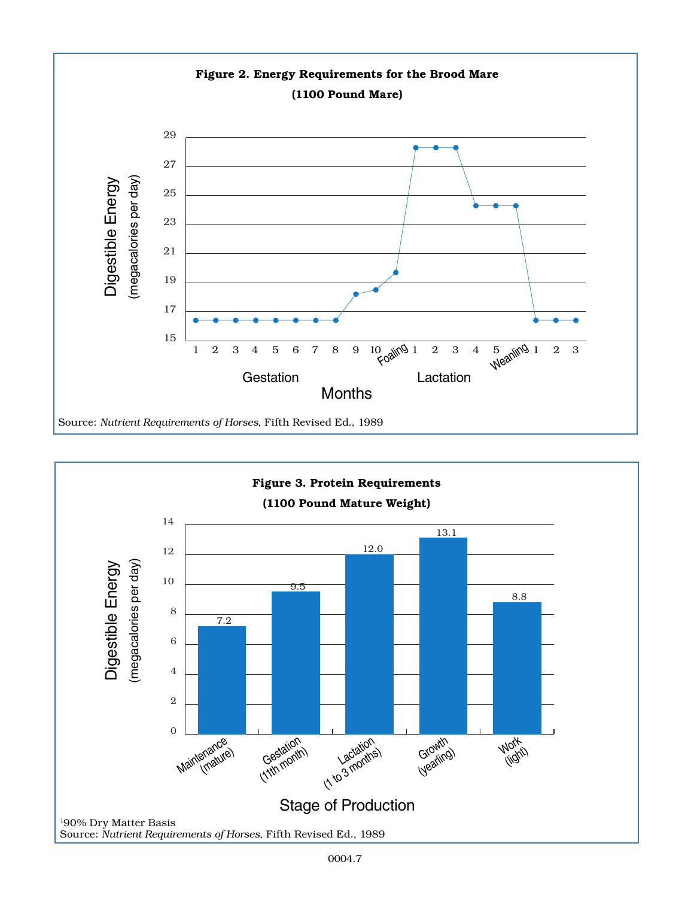

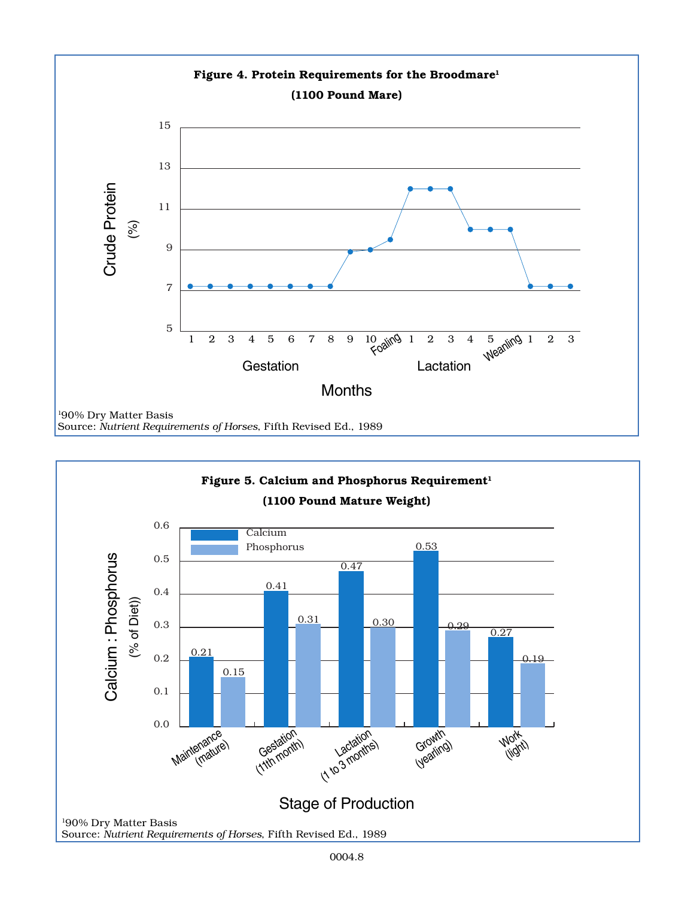

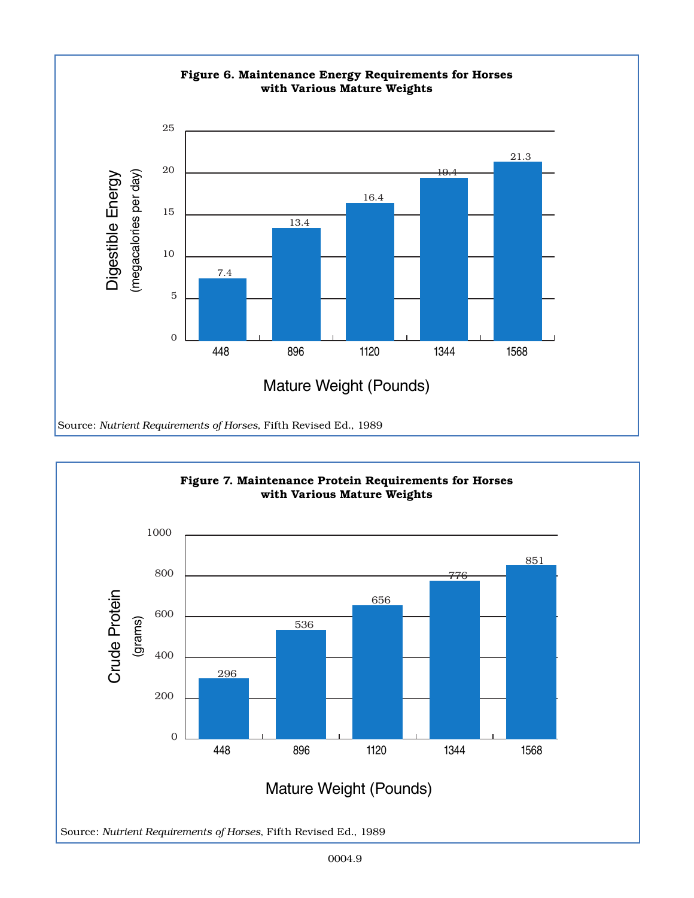